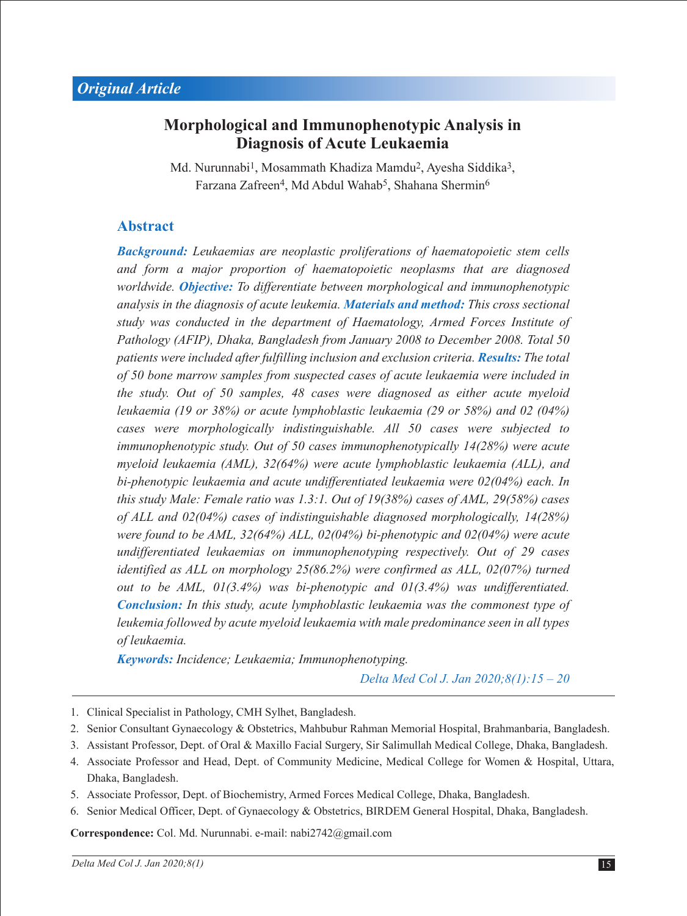## **Morphological and Immunophenotypic Analysis in Diagnosis of Acute Leukaemia**

Md. Nurunnabi<sup>1</sup>, Mosammath Khadiza Mamdu<sup>2</sup>, Ayesha Siddika<sup>3</sup>, Farzana Zafreen<sup>4</sup>, Md Abdul Wahab<sup>5</sup>, Shahana Shermin<sup>6</sup>

#### **Abstract**

*Background: Leukaemias are neoplastic proliferations of haematopoietic stem cells and form a major proportion of haematopoietic neoplasms that are diagnosed worldwide. Objective: To differentiate between morphological and immunophenotypic analysis in the diagnosis of acute leukemia. Materials and method: This cross sectional study was conducted in the department of Haematology, Armed Forces Institute of Pathology (AFIP), Dhaka, Bangladesh from January 2008 to December 2008. Total 50 patients were included after fulfilling inclusion and exclusion criteria. Results: The total of 50 bone marrow samples from suspected cases of acute leukaemia were included in the study. Out of 50 samples, 48 cases were diagnosed as either acute myeloid leukaemia (19 or 38%) or acute lymphoblastic leukaemia (29 or 58%) and 02 (04%) cases were morphologically indistinguishable. All 50 cases were subjected to immunophenotypic study. Out of 50 cases immunophenotypically 14(28%) were acute myeloid leukaemia (AML), 32(64%) were acute lymphoblastic leukaemia (ALL), and bi-phenotypic leukaemia and acute undifferentiated leukaemia were 02(04%) each. In this study Male: Female ratio was 1.3:1. Out of 19(38%) cases of AML, 29(58%) cases of ALL and 02(04%) cases of indistinguishable diagnosed morphologically, 14(28%) were found to be AML, 32(64%) ALL, 02(04%) bi-phenotypic and 02(04%) were acute undifferentiated leukaemias on immunophenotyping respectively. Out of 29 cases identified as ALL on morphology 25(86.2%) were confirmed as ALL, 02(07%) turned out to be AML, 01(3.4%) was bi-phenotypic and 01(3.4%) was undifferentiated. Conclusion: In this study, acute lymphoblastic leukaemia was the commonest type of leukemia followed by acute myeloid leukaemia with male predominance seen in all types of leukaemia.*

*Keywords: Incidence; Leukaemia; Immunophenotyping.* 

*Delta Med Col J. Jan 2020;8(1):15 – 20*

- 1. Clinical Specialist in Pathology, CMH Sylhet, Bangladesh.
- 2. Senior Consultant Gynaecology & Obstetrics, Mahbubur Rahman Memorial Hospital, Brahmanbaria, Bangladesh.
- 3. Assistant Professor, Dept. of Oral & Maxillo Facial Surgery, Sir Salimullah Medical College, Dhaka, Bangladesh.
- 4. Associate Professor and Head, Dept. of Community Medicine, Medical College for Women & Hospital, Uttara, Dhaka, Bangladesh.
- 5. Associate Professor, Dept. of Biochemistry, Armed Forces Medical College, Dhaka, Bangladesh.
- 6. Senior Medical Officer, Dept. of Gynaecology & Obstetrics, BIRDEM General Hospital, Dhaka, Bangladesh.

**Correspondence:** Col. Md. Nurunnabi. e-mail: nabi2742@gmail.com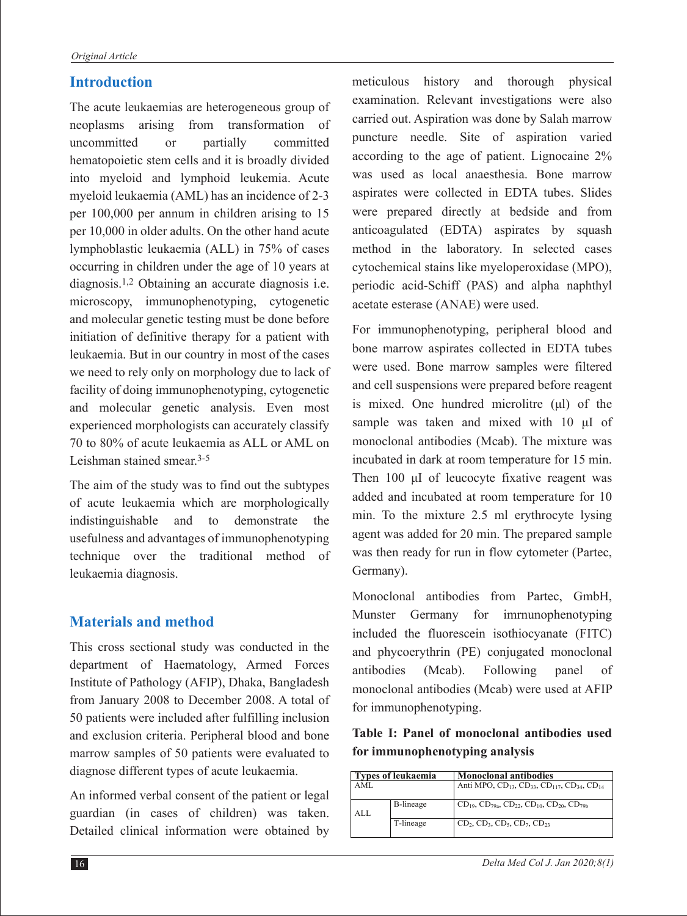#### **Introduction**

The acute leukaemias are heterogeneous group of neoplasms arising from transformation of uncommitted or partially committed hematopoietic stem cells and it is broadly divided into myeloid and lymphoid leukemia. Acute myeloid leukaemia (AML) has an incidence of 2-3 per 100,000 per annum in children arising to 15 per 10,000 in older adults. On the other hand acute lymphoblastic leukaemia (ALL) in 75% of cases occurring in children under the age of 10 years at diagnosis.1,2 Obtaining an accurate diagnosis i.e. microscopy, immunophenotyping, cytogenetic and molecular genetic testing must be done before initiation of definitive therapy for a patient with leukaemia. But in our country in most of the cases we need to rely only on morphology due to lack of facility of doing immunophenotyping, cytogenetic and molecular genetic analysis. Even most experienced morphologists can accurately classify 70 to 80% of acute leukaemia as ALL or AML on Leishman stained smear.3-5

The aim of the study was to find out the subtypes of acute leukaemia which are morphologically indistinguishable and to demonstrate the usefulness and advantages of immunophenotyping technique over the traditional method of leukaemia diagnosis.

#### **Materials and method**

This cross sectional study was conducted in the department of Haematology, Armed Forces Institute of Pathology (AFIP), Dhaka, Bangladesh from January 2008 to December 2008. A total of 50 patients were included after fulfilling inclusion and exclusion criteria. Peripheral blood and bone marrow samples of 50 patients were evaluated to diagnose different types of acute leukaemia.

An informed verbal consent of the patient or legal guardian (in cases of children) was taken. Detailed clinical information were obtained by

meticulous history and thorough physical examination. Relevant investigations were also carried out. Aspiration was done by Salah marrow puncture needle. Site of aspiration varied according to the age of patient. Lignocaine 2% was used as local anaesthesia. Bone marrow aspirates were collected in EDTA tubes. Slides were prepared directly at bedside and from anticoagulated (EDTA) aspirates by squash method in the laboratory. In selected cases cytochemical stains like myeloperoxidase (MPO), periodic acid-Schiff (PAS) and alpha naphthyl acetate esterase (ANAE) were used.

For immunophenotyping, peripheral blood and bone marrow aspirates collected in EDTA tubes were used. Bone marrow samples were filtered and cell suspensions were prepared before reagent is mixed. One hundred microlitre (μl) of the sample was taken and mixed with 10 μI of monoclonal antibodies (Mcab). The mixture was incubated in dark at room temperature for 15 min. Then 100 μI of leucocyte fixative reagent was added and incubated at room temperature for 10 min. To the mixture 2.5 ml erythrocyte lysing agent was added for 20 min. The prepared sample was then ready for run in flow cytometer (Partec, Germany).

Monoclonal antibodies from Partec, GmbH, Munster Germany for imrnunophenotyping included the fluorescein isothiocyanate (FITC) and phycoerythrin (PE) conjugated monoclonal antibodies (Mcab). Following panel of monoclonal antibodies (Mcab) were used at AFIP for immunophenotyping.

**Table I: Panel of monoclonal antibodies used for immunophenotyping analysis**

| <b>Types of leukaemia</b> |           | <b>Monoclonal antibodies</b>                                                                            |  |
|---------------------------|-----------|---------------------------------------------------------------------------------------------------------|--|
| AML                       |           | Anti MPO, CD <sub>13</sub> , CD <sub>33</sub> , CD <sub>117</sub> , CD <sub>34</sub> , CD <sub>14</sub> |  |
| AI.                       | B-lineage | $CD_{19}$ , $CD_{79a}$ , $CD_{22}$ , $CD_{10}$ , $CD_{20}$ , $CD_{79b}$                                 |  |
|                           | T-lineage | $CD_2$ , $CD_3$ , $CD_5$ , $CD_7$ , $CD_{23}$                                                           |  |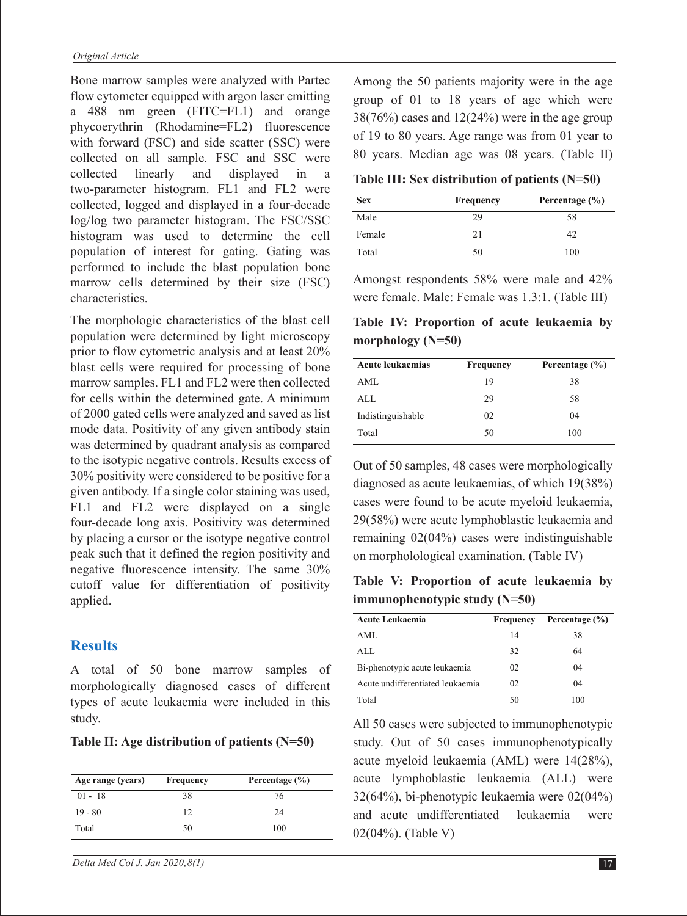Bone marrow samples were analyzed with Partec flow cytometer equipped with argon laser emitting a 488 nm green (FITC=FL1) and orange phycoerythrin (Rhodamine=FL2) fluorescence with forward (FSC) and side scatter (SSC) were collected on all sample. FSC and SSC were collected linearly and displayed in a two-parameter histogram. FL1 and FL2 were collected, logged and displayed in a four-decade log/log two parameter histogram. The FSC/SSC histogram was used to determine the cell population of interest for gating. Gating was performed to include the blast population bone marrow cells determined by their size (FSC) characteristics.

The morphologic characteristics of the blast cell population were determined by light microscopy prior to flow cytometric analysis and at least 20% blast cells were required for processing of bone marrow samples. FL1 and FL2 were then collected for cells within the determined gate. A minimum of 2000 gated cells were analyzed and saved as list mode data. Positivity of any given antibody stain was determined by quadrant analysis as compared to the isotypic negative controls. Results excess of 30% positivity were considered to be positive for a given antibody. If a single color staining was used, FL1 and FL2 were displayed on a single four-decade long axis. Positivity was determined by placing a cursor or the isotype negative control peak such that it defined the region positivity and negative fluorescence intensity. The same 30% cutoff value for differentiation of positivity applied.

#### **Results**

A total of 50 bone marrow samples of morphologically diagnosed cases of different types of acute leukaemia were included in this study.

**Table II: Age distribution of patients (N=50)**

| Age range (years) | Frequency | Percentage $(\% )$ |
|-------------------|-----------|--------------------|
| $01 - 18$         | 38        | 76                 |
| $19 - 80$         | 12        | 24                 |
| Total             | 50        | 100                |

*Delta Med Col J. Jan 2020;8(1)* 17

Among the 50 patients majority were in the age group of 01 to 18 years of age which were  $38(76%)$  cases and  $12(24%)$  were in the age group of 19 to 80 years. Age range was from 01 year to 80 years. Median age was 08 years. (Table II)

**Table III: Sex distribution of patients (N=50)** 

| <b>Sex</b> | Frequency | Percentage (%) |  |
|------------|-----------|----------------|--|
| Male       | 29        | 58             |  |
| Female     | 21        | 42             |  |
| Total      | 50        | 100            |  |

Amongst respondents 58% were male and 42% were female. Male: Female was 1.3:1. (Table III)

**Table IV: Proportion of acute leukaemia by morphology (N=50)**

| <b>Acute leukaemias</b> | <b>Frequency</b> | Percentage (%) |  |
|-------------------------|------------------|----------------|--|
| AML                     | 19               | 38             |  |
| ALL.                    | 29               | 58             |  |
| Indistinguishable       | 02               | 04             |  |
| Total                   | 50               | 100            |  |

Out of 50 samples, 48 cases were morphologically diagnosed as acute leukaemias, of which 19(38%) cases were found to be acute myeloid leukaemia, 29(58%) were acute lymphoblastic leukaemia and remaining 02(04%) cases were indistinguishable on morpholological examination. (Table IV)

**Table V: Proportion of acute leukaemia by immunophenotypic study (N=50)**

| <b>Acute Leukaemia</b>           | Frequency | Percentage (%) |
|----------------------------------|-----------|----------------|
| AML                              | 14        | 38             |
| ALL.                             | 32        | 64             |
| Bi-phenotypic acute leukaemia    | 02        | 04             |
| Acute undifferentiated leukaemia | 02        | 04             |
| Total                            | 50        | 100            |

All 50 cases were subjected to immunophenotypic study. Out of 50 cases immunophenotypically acute myeloid leukaemia (AML) were 14(28%), acute lymphoblastic leukaemia (ALL) were 32(64%), bi-phenotypic leukaemia were 02(04%) and acute undifferentiated leukaemia were 02(04%). (Table V)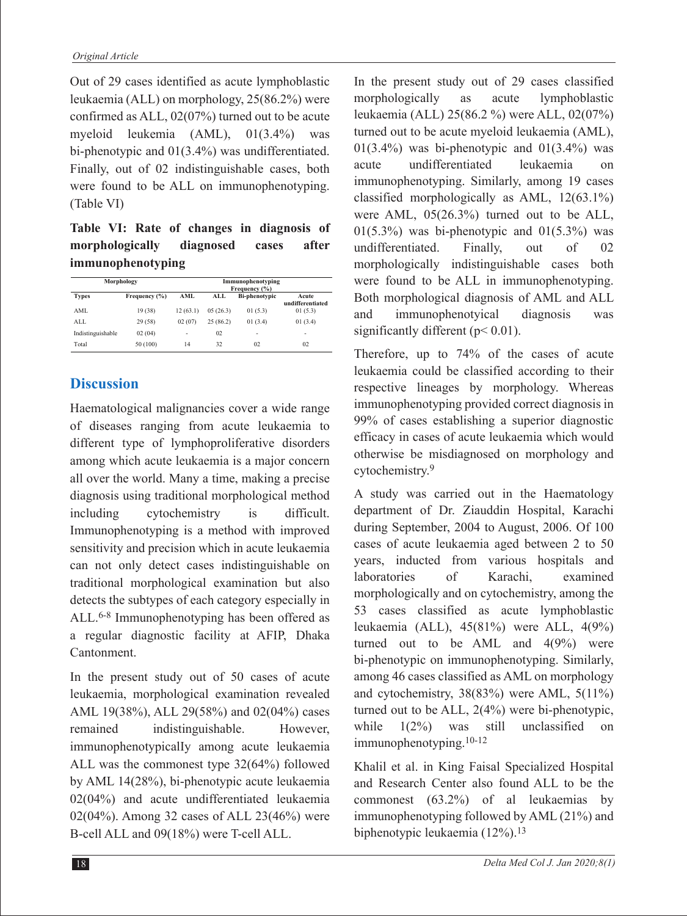Out of 29 cases identified as acute lymphoblastic leukaemia (ALL) on morphology, 25(86.2%) were confirmed as ALL, 02(07%) turned out to be acute myeloid leukemia (AML), 01(3.4%) was bi-phenotypic and 01(3.4%) was undifferentiated. Finally, out of 02 indistinguishable cases, both were found to be ALL on immunophenotyping. (Table VI)

**Table VI: Rate of changes in diagnosis of morphologically diagnosed cases after immunophenotyping**

| Morphology        |               | Immunophenotyping<br>Frequency (%) |          |                      |                           |
|-------------------|---------------|------------------------------------|----------|----------------------|---------------------------|
| <b>Types</b>      | Frequency (%) | AML                                | ALL      | <b>Bi-phenotypic</b> | Acute<br>undifferentiated |
| AML               | 19(38)        | 12(63.1)                           | 05(26.3) | 01(5.3)              | 01(5.3)                   |
| ALL               | 29(58)        | 02(07)                             | 25(86.2) | 01(3.4)              | 01(3.4)                   |
| Indistinguishable | 02(04)        | ٠                                  | 02       | ٠                    | ٠                         |
| Total             | 50 (100)      | 14                                 | 32       | 02                   | 02                        |

# **Discussion**

Haematological malignancies cover a wide range of diseases ranging from acute leukaemia to different type of lymphoproliferative disorders among which acute leukaemia is a major concern all over the world. Many a time, making a precise diagnosis using traditional morphological method including cytochemistry is difficult. Immunophenotyping is a method with improved sensitivity and precision which in acute leukaemia can not only detect cases indistinguishable on traditional morphological examination but also detects the subtypes of each category especially in ALL.6-8 Immunophenotyping has been offered as a regular diagnostic facility at AFIP, Dhaka Cantonment.

In the present study out of 50 cases of acute leukaemia, morphological examination revealed AML 19(38%), ALL 29(58%) and 02(04%) cases remained indistinguishable. However, immunophenotypicalIy among acute leukaemia ALL was the commonest type 32(64%) followed by AML 14(28%), bi-phenotypic acute leukaemia 02(04%) and acute undifferentiated leukaemia 02(04%). Among 32 cases of ALL 23(46%) were B-cell ALL and 09(18%) were T-cell ALL.

In the present study out of 29 cases classified morphologically as acute lymphoblastic leukaemia (ALL) 25(86.2 %) were ALL, 02(07%) turned out to be acute myeloid leukaemia (AML),  $01(3.4\%)$  was bi-phenotypic and  $01(3.4\%)$  was acute undifferentiated leukaemia on immunophenotyping. Similarly, among 19 cases classified morphologically as AML, 12(63.1%) were AML, 05(26.3%) turned out to be ALL,  $01(5.3\%)$  was bi-phenotypic and  $01(5.3\%)$  was undifferentiated. Finally, out of 02 morphologically indistinguishable cases both were found to be ALL in immunophenotyping. Both morphological diagnosis of AML and ALL and immunophenotyical diagnosis was significantly different ( $p$  < 0.01).

Therefore, up to 74% of the cases of acute leukaemia could be classified according to their respective lineages by morphology. Whereas immunophenotyping provided correct diagnosis in 99% of cases establishing a superior diagnostic efficacy in cases of acute leukaemia which would otherwise be misdiagnosed on morphology and cytochemistry.9

A study was carried out in the Haematology department of Dr. Ziauddin Hospital, Karachi during September, 2004 to August, 2006. Of 100 cases of acute leukaemia aged between 2 to 50 years, inducted from various hospitals and laboratories of Karachi, examined morphologically and on cytochemistry, among the 53 cases classified as acute lymphoblastic leukaemia (ALL), 45(81%) were ALL, 4(9%) turned out to be AML and  $4(9\%)$  were bi-phenotypic on immunophenotyping. Similarly, among 46 cases classified as AML on morphology and cytochemistry, 38(83%) were AML, 5(11%) turned out to be ALL, 2(4%) were bi-phenotypic, while  $1(2\%)$  was still unclassified on immunophenotyping.10-12

Khalil et al. in King Faisal Specialized Hospital and Research Center also found ALL to be the commonest (63.2%) of al leukaemias by immunophenotyping followed by AML (21%) and biphenotypic leukaemia (12%).<sup>13</sup>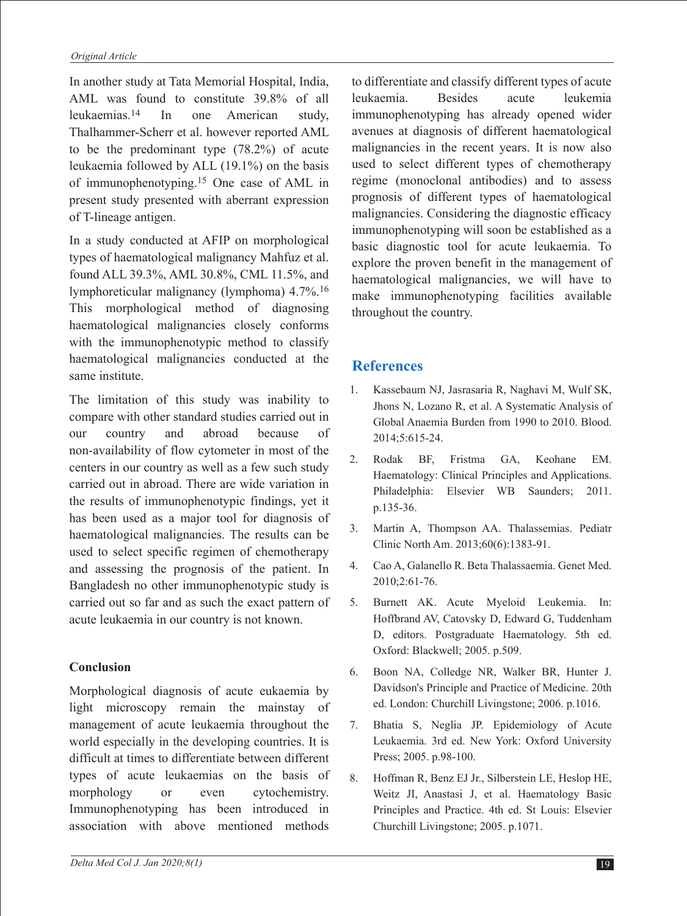In another study at Tata Memorial Hospital, India, AML was found to constitute 39.8% of all leukaemias.14 In one American study, Thalhammer-Scherr et al. however reported AML to be the predominant type (78.2%) of acute leukaemia followed by ALL (19.1%) on the basis of immunophenotyping.15 One case of AML in present study presented with aberrant expression of T-lineage antigen.

In a study conducted at AFIP on morphological types of haematological malignancy Mahfuz et al. found ALL 39.3%, AML 30.8%, CML 11.5%, and lymphoreticular malignancy (lymphoma) 4.7%.16 This morphological method of diagnosing haematological malignancies closely conforms with the immunophenotypic method to classify haematological malignancies conducted at the same institute.

The limitation of this study was inability to compare with other standard studies carried out in our country and abroad because of non-availability of flow cytometer in most of the centers in our country as well as a few such study carried out in abroad. There are wide variation in the results of immunophenotypic findings, yet it has been used as a major tool for diagnosis of haematological malignancies. The results can be used to select specific regimen of chemotherapy and assessing the prognosis of the patient. In Bangladesh no other immunophenotypic study is carried out so far and as such the exact pattern of acute leukaemia in our country is not known.

#### **Conclusion**

Morphological diagnosis of acute eukaemia by light microscopy remain the mainstay of management of acute leukaemia throughout the world especially in the developing countries. It is difficult at times to differentiate between different types of acute leukaemias on the basis of morphology or even cytochemistry. Immunophenotyping has been introduced in association with above mentioned methods

to differentiate and classify different types of acute leukaemia. Besides acute leukemia immunophenotyping has already opened wider avenues at diagnosis of different haematological malignancies in the recent years. It is now also used to select different types of chemotherapy regime (monoclonal antibodies) and to assess prognosis of different types of haematological malignancies. Considering the diagnostic efficacy immunophenotyping will soon be established as a basic diagnostic tool for acute leukaemia. To explore the proven benefit in the management of haematological malignancies, we will have to make immunophenotyping facilities available throughout the country.

### **References**

- 1. Kassebaum NJ, Jasrasaria R, Naghavi M, Wulf SK, Jhons N, Lozano R, et al. A Systematic Analysis of Global Anaemia Burden from 1990 to 2010. Blood. 2014;5:615-24.
- 2. Rodak BF, Fristma GA, Keohane EM. Haematology: Clinical Principles and Applications. Philadelphia: Elsevier WB Saunders; 2011. p.135-36.
- 3. Martin A, Thompson AA. Thalassemias. Pediatr Clinic North Am. 2013;60(6):1383-91.
- 4. Cao A, Galanello R. Beta Thalassaemia. Genet Med. 2010;2:61-76.
- 5. Burnett AK. Acute Myeloid Leukemia. In: Hoffbrand AV, Catovsky D, Edward G, Tuddenham D, editors. Postgraduate Haematology. 5th ed. Oxford: Blackwell; 2005. p.509.
- 6. Boon NA, Colledge NR, Walker BR, Hunter J. Davidson's Principle and Practice of Medicine. 20th ed. London: Churchill Livingstone; 2006. p.1016.
- 7. Bhatia S, Neglia JP. Epidemiology of Acute Leukaemia. 3rd ed. New York: Oxford University Press; 2005. p.98-100.
- 8. Hoffman R, Benz EJ Jr., Silberstein LE, Heslop HE, Weitz JI, Anastasi J, et al. Haematology Basic Principles and Practice. 4th ed. St Louis: Elsevier Churchill Livingstone; 2005. p.1071.